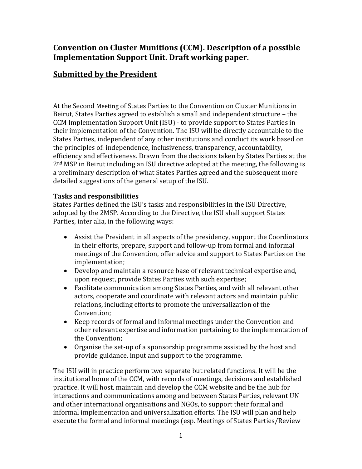## **Convention on Cluster Munitions (CCM). Description of a possible Implementation Support Unit. Draft working paper.**

# **Submitted by the President**

At the Second Meeting of States Parties to the Convention on Cluster Munitions in Beirut, States Parties agreed to establish a small and independent structure – the CCM Implementation Support Unit (ISU) - to provide support to States Parties in their implementation of the Convention. The ISU will be directly accountable to the States Parties, independent of any other institutions and conduct its work based on the principles of: independence, inclusiveness, transparency, accountability, efficiency and effectiveness. Drawn from the decisions taken by States Parties at the 2nd MSP in Beirut including an ISU directive adopted at the meeting, the following is a preliminary description of what States Parties agreed and the subsequent more detailed suggestions of the general setup of the ISU.

## **Tasks and responsibilities**

States Parties defined the ISU's tasks and responsibilities in the ISU Directive, adopted by the 2MSP. According to the Directive, the ISU shall support States Parties, inter alia, in the following ways:

- Assist the President in all aspects of the presidency, support the Coordinators in their efforts, prepare, support and follow-up from formal and informal meetings of the Convention, offer advice and support to States Parties on the implementation;
- Develop and maintain a resource base of relevant technical expertise and, upon request, provide States Parties with such expertise;
- Facilitate communication among States Parties, and with all relevant other actors, cooperate and coordinate with relevant actors and maintain public relations, including efforts to promote the universalization of the Convention;
- Keep records of formal and informal meetings under the Convention and other relevant expertise and information pertaining to the implementation of the Convention;
- Organise the set-up of a sponsorship programme assisted by the host and provide guidance, input and support to the programme.

The ISU will in practice perform two separate but related functions. It will be the institutional home of the CCM, with records of meetings, decisions and established practice. It will host, maintain and develop the CCM website and be the hub for interactions and communications among and between States Parties, relevant UN and other international organisations and NGOs, to support their formal and informal implementation and universalization efforts. The ISU will plan and help execute the formal and informal meetings (esp. Meetings of States Parties/Review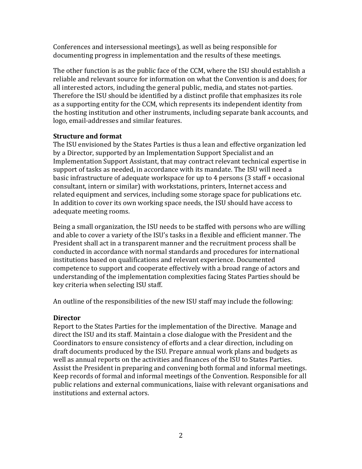Conferences and intersessional meetings), as well as being responsible for documenting progress in implementation and the results of these meetings.

The other function is as the public face of the CCM, where the ISU should establish a reliable and relevant source for information on what the Convention is and does; for all interested actors, including the general public, media, and states not-parties. Therefore the ISU should be identified by a distinct profile that emphasizes its role as a supporting entity for the CCM, which represents its independent identity from the hosting institution and other instruments, including separate bank accounts, and logo, email-addresses and similar features.

## **Structure and format**

The ISU envisioned by the States Parties is thus a lean and effective organization led by a Director, supported by an Implementation Support Specialist and an Implementation Support Assistant, that may contract relevant technical expertise in support of tasks as needed, in accordance with its mandate. The ISU will need a basic infrastructure of adequate workspace for up to 4 persons (3 staff + occasional consultant, intern or similar) with workstations, printers, Internet access and related equipment and services, including some storage space for publications etc. In addition to cover its own working space needs, the ISU should have access to adequate meeting rooms.

Being a small organization, the ISU needs to be staffed with persons who are willing and able to cover a variety of the ISU's tasks in a flexible and efficient manner. The President shall act in a transparent manner and the recruitment process shall be conducted in accordance with normal standards and procedures for international institutions based on qualifications and relevant experience. Documented competence to support and cooperate effectively with a broad range of actors and understanding of the implementation complexities facing States Parties should be key criteria when selecting ISU staff.

An outline of the responsibilities of the new ISU staff may include the following:

## **Director**

Report to the States Parties for the implementation of the Directive. Manage and direct the ISU and its staff. Maintain a close dialogue with the President and the Coordinators to ensure consistency of efforts and a clear direction, including on draft documents produced by the ISU. Prepare annual work plans and budgets as well as annual reports on the activities and finances of the ISU to States Parties. Assist the President in preparing and convening both formal and informal meetings. Keep records of formal and informal meetings of the Convention. Responsible for all public relations and external communications, liaise with relevant organisations and institutions and external actors.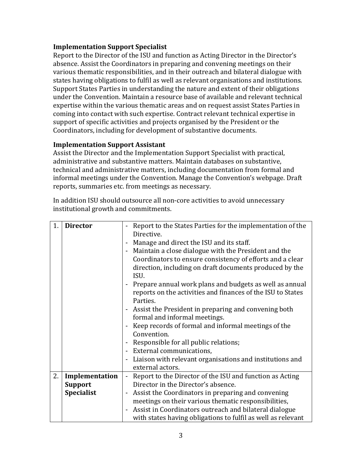#### **Implementation Support Specialist**

Report to the Director of the ISU and function as Acting Director in the Director's absence. Assist the Coordinators in preparing and convening meetings on their various thematic responsibilities, and in their outreach and bilateral dialogue with states having obligations to fulfil as well as relevant organisations and institutions. Support States Parties in understanding the nature and extent of their obligations under the Convention. Maintain a resource base of available and relevant technical expertise within the various thematic areas and on request assist States Parties in coming into contact with such expertise. Contract relevant technical expertise in support of specific activities and projects organised by the President or the Coordinators, including for development of substantive documents.

## **Implementation Support Assistant**

Assist the Director and the Implementation Support Specialist with practical, administrative and substantive matters. Maintain databases on substantive, technical and administrative matters, including documentation from formal and informal meetings under the Convention. Manage the Convention's webpage. Draft reports, summaries etc. from meetings as necessary.

| 1. | <b>Director</b>   | Report to the States Parties for the implementation of the                           |
|----|-------------------|--------------------------------------------------------------------------------------|
|    |                   | Directive.                                                                           |
|    |                   | Manage and direct the ISU and its staff.                                             |
|    |                   | - Maintain a close dialogue with the President and the                               |
|    |                   | Coordinators to ensure consistency of efforts and a clear                            |
|    |                   | direction, including on draft documents produced by the                              |
|    |                   | ISU.                                                                                 |
|    |                   | Prepare annual work plans and budgets as well as annual<br>$\blacksquare$            |
|    |                   | reports on the activities and finances of the ISU to States                          |
|    |                   | Parties.                                                                             |
|    |                   | Assist the President in preparing and convening both<br>$\blacksquare$               |
|    |                   | formal and informal meetings.                                                        |
|    |                   | Keep records of formal and informal meetings of the                                  |
|    |                   | Convention.                                                                          |
|    |                   | Responsible for all public relations;                                                |
|    |                   | - External communications,                                                           |
|    |                   | Liaison with relevant organisations and institutions and<br>$\blacksquare$           |
|    |                   | external actors.                                                                     |
| 2. | Implementation    | Report to the Director of the ISU and function as Acting<br>$\overline{\phantom{0}}$ |
|    | <b>Support</b>    | Director in the Director's absence.                                                  |
|    | <b>Specialist</b> | Assist the Coordinators in preparing and convening<br>$\blacksquare$                 |
|    |                   | meetings on their various thematic responsibilities,                                 |
|    |                   | - Assist in Coordinators outreach and bilateral dialogue                             |
|    |                   | with states having obligations to fulfil as well as relevant                         |

In addition ISU should outsource all non-core activities to avoid unnecessary institutional growth and commitments.